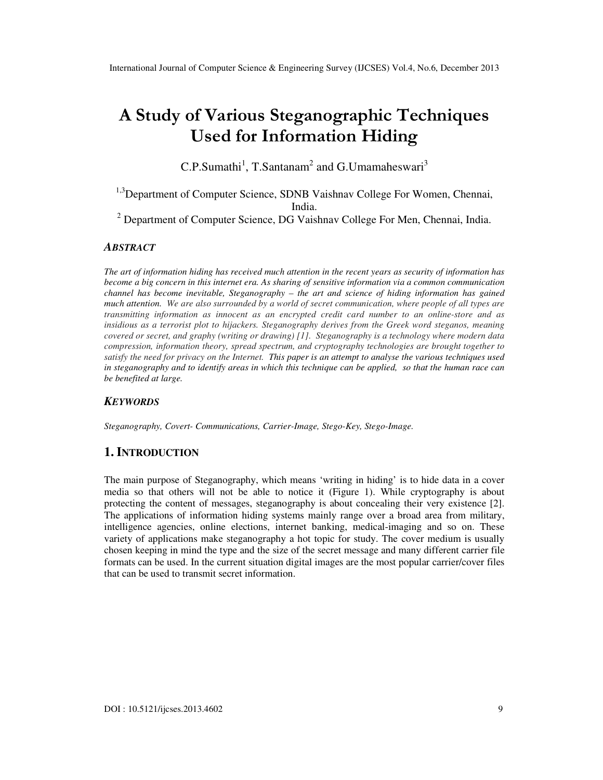# **A Study of Various Steganographic Techniques Used for Information Hiding**

C.P.Sumathi<sup>1</sup>, T.Santanam<sup>2</sup> and G.Umamaheswari<sup>3</sup>

<sup>1,3</sup>Department of Computer Science, SDNB Vaishnav College For Women, Chennai, India.

<sup>2</sup> Department of Computer Science, DG Vaishnav College For Men, Chennai, India.

#### *ABSTRACT*

*The art of information hiding has received much attention in the recent years as security of information has become a big concern in this internet era. As sharing of sensitive information via a common communication channel has become inevitable, Steganography – the art and science of hiding information has gained much attention. We are also surrounded by a world of secret communication, where people of all types are transmitting information as innocent as an encrypted credit card number to an online-store and as insidious as a terrorist plot to hijackers. Steganography derives from the Greek word steganos, meaning covered or secret, and graphy (writing or drawing) [1]. Steganography is a technology where modern data compression, information theory, spread spectrum, and cryptography technologies are brought together to satisfy the need for privacy on the Internet. This paper is an attempt to analyse the various techniques used in steganography and to identify areas in which this technique can be applied, so that the human race can be benefited at large.*

#### *KEYWORDS*

*Steganography, Covert- Communications, Carrier-Image, Stego-Key, Stego-Image.* 

#### **1. INTRODUCTION**

The main purpose of Steganography, which means 'writing in hiding' is to hide data in a cover media so that others will not be able to notice it (Figure 1). While cryptography is about protecting the content of messages, steganography is about concealing their very existence [2]. The applications of information hiding systems mainly range over a broad area from military, intelligence agencies, online elections, internet banking, medical-imaging and so on. These variety of applications make steganography a hot topic for study. The cover medium is usually chosen keeping in mind the type and the size of the secret message and many different carrier file formats can be used. In the current situation digital images are the most popular carrier/cover files that can be used to transmit secret information.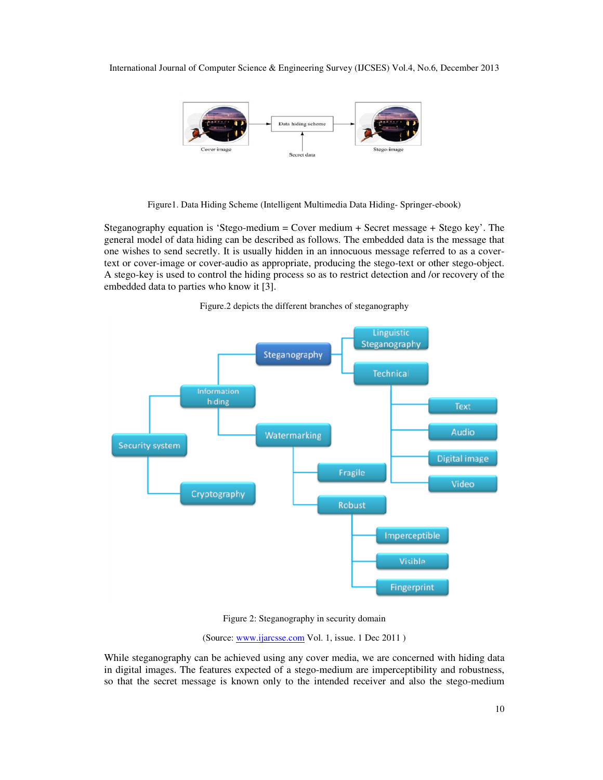

Figure1. Data Hiding Scheme (Intelligent Multimedia Data Hiding- Springer-ebook)

Steganography equation is 'Stego-medium = Cover medium + Secret message + Stego key'. The general model of data hiding can be described as follows. The embedded data is the message that one wishes to send secretly. It is usually hidden in an innocuous message referred to as a covertext or cover-image or cover-audio as appropriate, producing the stego-text or other stego-object. A stego-key is used to control the hiding process so as to restrict detection and /or recovery of the embedded data to parties who know it [3].





Figure 2: Steganography in security domain

(Source: www.ijarcsse.com Vol. 1, issue. 1 Dec 2011 )

While steganography can be achieved using any cover media, we are concerned with hiding data in digital images. The features expected of a stego-medium are imperceptibility and robustness, so that the secret message is known only to the intended receiver and also the stego-medium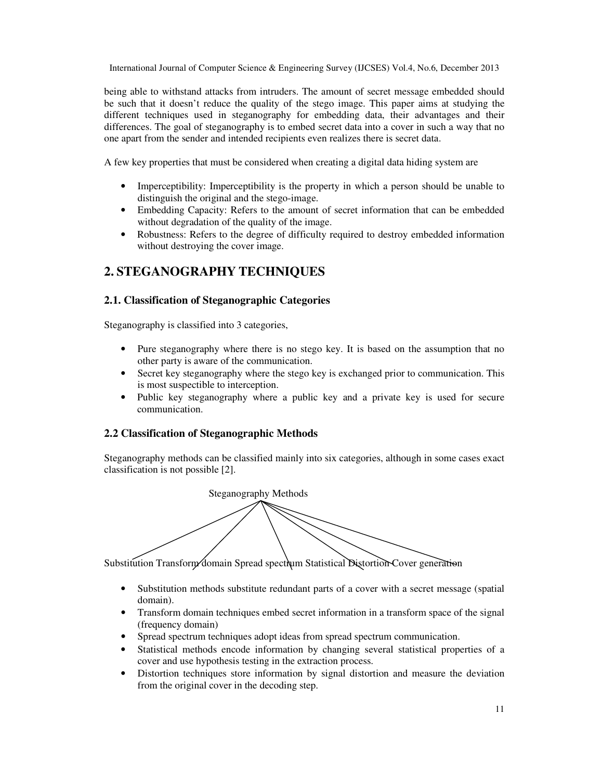being able to withstand attacks from intruders. The amount of secret message embedded should be such that it doesn't reduce the quality of the stego image. This paper aims at studying the different techniques used in steganography for embedding data, their advantages and their differences. The goal of steganography is to embed secret data into a cover in such a way that no one apart from the sender and intended recipients even realizes there is secret data.

A few key properties that must be considered when creating a digital data hiding system are

- Imperceptibility: Imperceptibility is the property in which a person should be unable to distinguish the original and the stego-image.
- Embedding Capacity: Refers to the amount of secret information that can be embedded without degradation of the quality of the image.
- Robustness: Refers to the degree of difficulty required to destroy embedded information without destroying the cover image.

## **2. STEGANOGRAPHY TECHNIQUES**

## **2.1. Classification of Steganographic Categories**

Steganography is classified into 3 categories,

- Pure steganography where there is no stego key. It is based on the assumption that no other party is aware of the communication.
- Secret key steganography where the stego key is exchanged prior to communication. This is most suspectible to interception.
- Public key steganography where a public key and a private key is used for secure communication.

#### **2.2 Classification of Steganographic Methods**

Steganography methods can be classified mainly into six categories, although in some cases exact classification is not possible [2].



Substitution Transform domain Spread spectrum Statistical Distortion Cover generation

- Substitution methods substitute redundant parts of a cover with a secret message (spatial domain).
- Transform domain techniques embed secret information in a transform space of the signal (frequency domain)
- Spread spectrum techniques adopt ideas from spread spectrum communication.
- Statistical methods encode information by changing several statistical properties of a cover and use hypothesis testing in the extraction process.
- Distortion techniques store information by signal distortion and measure the deviation from the original cover in the decoding step.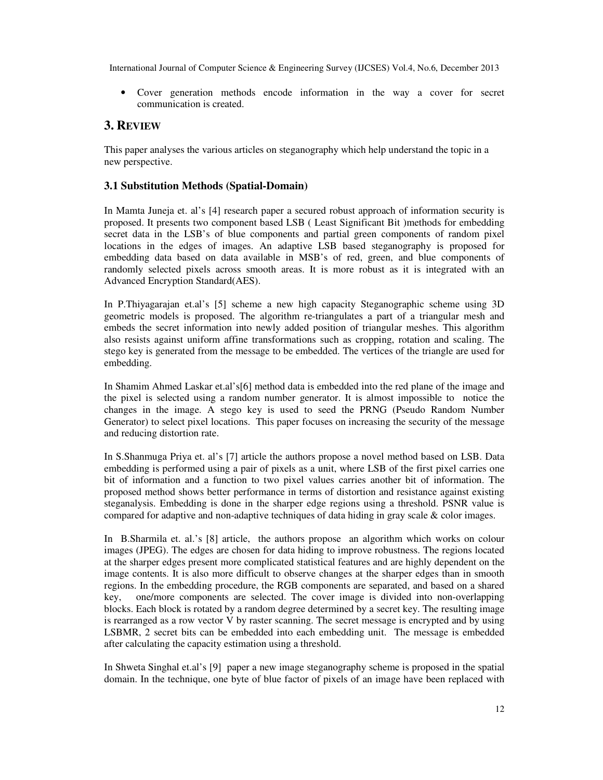• Cover generation methods encode information in the way a cover for secret communication is created.

## **3. REVIEW**

This paper analyses the various articles on steganography which help understand the topic in a new perspective.

#### **3.1 Substitution Methods (Spatial-Domain)**

In Mamta Juneja et. al's [4] research paper a secured robust approach of information security is proposed. It presents two component based LSB ( Least Significant Bit )methods for embedding secret data in the LSB's of blue components and partial green components of random pixel locations in the edges of images. An adaptive LSB based steganography is proposed for embedding data based on data available in MSB's of red, green, and blue components of randomly selected pixels across smooth areas. It is more robust as it is integrated with an Advanced Encryption Standard(AES).

In P.Thiyagarajan et.al's [5] scheme a new high capacity Steganographic scheme using 3D geometric models is proposed. The algorithm re-triangulates a part of a triangular mesh and embeds the secret information into newly added position of triangular meshes. This algorithm also resists against uniform affine transformations such as cropping, rotation and scaling. The stego key is generated from the message to be embedded. The vertices of the triangle are used for embedding.

In Shamim Ahmed Laskar et.al's[6] method data is embedded into the red plane of the image and the pixel is selected using a random number generator. It is almost impossible to notice the changes in the image. A stego key is used to seed the PRNG (Pseudo Random Number Generator) to select pixel locations. This paper focuses on increasing the security of the message and reducing distortion rate.

In S.Shanmuga Priya et. al's [7] article the authors propose a novel method based on LSB. Data embedding is performed using a pair of pixels as a unit, where LSB of the first pixel carries one bit of information and a function to two pixel values carries another bit of information. The proposed method shows better performance in terms of distortion and resistance against existing steganalysis. Embedding is done in the sharper edge regions using a threshold. PSNR value is compared for adaptive and non-adaptive techniques of data hiding in gray scale  $\&$  color images.

In B.Sharmila et. al.'s [8] article, the authors propose an algorithm which works on colour images (JPEG). The edges are chosen for data hiding to improve robustness. The regions located at the sharper edges present more complicated statistical features and are highly dependent on the image contents. It is also more difficult to observe changes at the sharper edges than in smooth regions. In the embedding procedure, the RGB components are separated, and based on a shared key, one/more components are selected. The cover image is divided into non-overlapping blocks. Each block is rotated by a random degree determined by a secret key. The resulting image is rearranged as a row vector V by raster scanning. The secret message is encrypted and by using LSBMR, 2 secret bits can be embedded into each embedding unit. The message is embedded after calculating the capacity estimation using a threshold.

In Shweta Singhal et.al's [9] paper a new image steganography scheme is proposed in the spatial domain. In the technique, one byte of blue factor of pixels of an image have been replaced with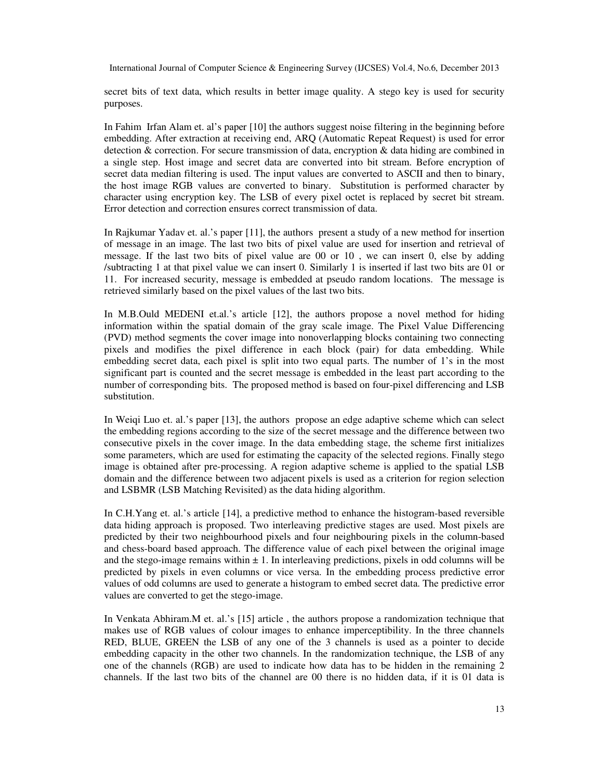secret bits of text data, which results in better image quality. A stego key is used for security purposes.

In Fahim Irfan Alam et. al's paper [10] the authors suggest noise filtering in the beginning before embedding. After extraction at receiving end, ARQ (Automatic Repeat Request) is used for error detection & correction. For secure transmission of data, encryption & data hiding are combined in a single step. Host image and secret data are converted into bit stream. Before encryption of secret data median filtering is used. The input values are converted to ASCII and then to binary, the host image RGB values are converted to binary. Substitution is performed character by character using encryption key. The LSB of every pixel octet is replaced by secret bit stream. Error detection and correction ensures correct transmission of data.

In Rajkumar Yadav et. al.'s paper [11], the authors present a study of a new method for insertion of message in an image. The last two bits of pixel value are used for insertion and retrieval of message. If the last two bits of pixel value are 00 or 10 , we can insert 0, else by adding /subtracting 1 at that pixel value we can insert 0. Similarly 1 is inserted if last two bits are 01 or 11. For increased security, message is embedded at pseudo random locations. The message is retrieved similarly based on the pixel values of the last two bits.

In M.B.Ould MEDENI et.al.'s article [12], the authors propose a novel method for hiding information within the spatial domain of the gray scale image. The Pixel Value Differencing (PVD) method segments the cover image into nonoverlapping blocks containing two connecting pixels and modifies the pixel difference in each block (pair) for data embedding. While embedding secret data, each pixel is split into two equal parts. The number of 1's in the most significant part is counted and the secret message is embedded in the least part according to the number of corresponding bits. The proposed method is based on four-pixel differencing and LSB substitution.

In Weiqi Luo et. al.'s paper [13], the authors propose an edge adaptive scheme which can select the embedding regions according to the size of the secret message and the difference between two consecutive pixels in the cover image. In the data embedding stage, the scheme first initializes some parameters, which are used for estimating the capacity of the selected regions. Finally stego image is obtained after pre-processing. A region adaptive scheme is applied to the spatial LSB domain and the difference between two adjacent pixels is used as a criterion for region selection and LSBMR (LSB Matching Revisited) as the data hiding algorithm.

In C.H.Yang et. al.'s article [14], a predictive method to enhance the histogram-based reversible data hiding approach is proposed. Two interleaving predictive stages are used. Most pixels are predicted by their two neighbourhood pixels and four neighbouring pixels in the column-based and chess-board based approach. The difference value of each pixel between the original image and the stego-image remains within  $\pm 1$ . In interleaving predictions, pixels in odd columns will be predicted by pixels in even columns or vice versa. In the embedding process predictive error values of odd columns are used to generate a histogram to embed secret data. The predictive error values are converted to get the stego-image.

In Venkata Abhiram.M et. al.'s [15] article , the authors propose a randomization technique that makes use of RGB values of colour images to enhance imperceptibility. In the three channels RED, BLUE, GREEN the LSB of any one of the 3 channels is used as a pointer to decide embedding capacity in the other two channels. In the randomization technique, the LSB of any one of the channels (RGB) are used to indicate how data has to be hidden in the remaining 2 channels. If the last two bits of the channel are 00 there is no hidden data, if it is 01 data is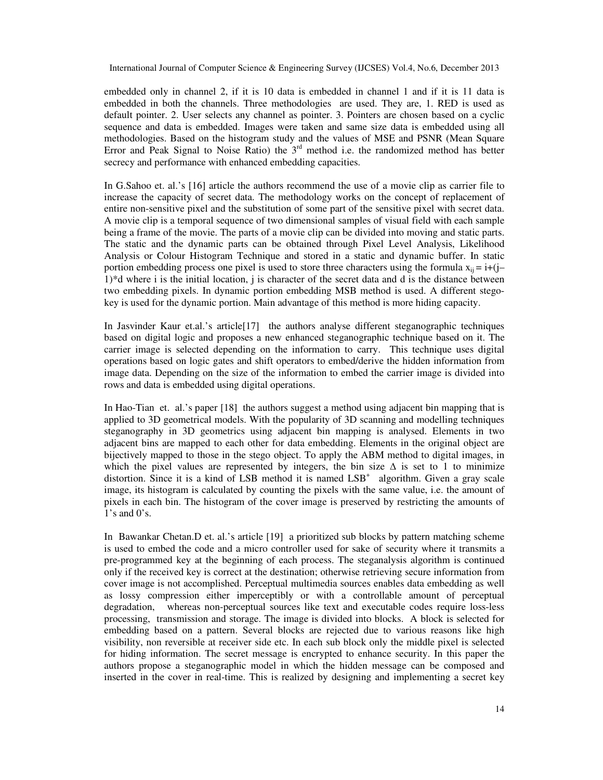embedded only in channel 2, if it is 10 data is embedded in channel 1 and if it is 11 data is embedded in both the channels. Three methodologies are used. They are, 1. RED is used as default pointer. 2. User selects any channel as pointer. 3. Pointers are chosen based on a cyclic sequence and data is embedded. Images were taken and same size data is embedded using all methodologies. Based on the histogram study and the values of MSE and PSNR (Mean Square Error and Peak Signal to Noise Ratio) the  $3<sup>rd</sup>$  method i.e. the randomized method has better secrecy and performance with enhanced embedding capacities.

In G.Sahoo et. al.'s [16] article the authors recommend the use of a movie clip as carrier file to increase the capacity of secret data. The methodology works on the concept of replacement of entire non-sensitive pixel and the substitution of some part of the sensitive pixel with secret data. A movie clip is a temporal sequence of two dimensional samples of visual field with each sample being a frame of the movie. The parts of a movie clip can be divided into moving and static parts. The static and the dynamic parts can be obtained through Pixel Level Analysis, Likelihood Analysis or Colour Histogram Technique and stored in a static and dynamic buffer. In static portion embedding process one pixel is used to store three characters using the formula  $x_{ii} = i+(i-)$ 1)\*d where i is the initial location, j is character of the secret data and d is the distance between two embedding pixels. In dynamic portion embedding MSB method is used. A different stegokey is used for the dynamic portion. Main advantage of this method is more hiding capacity.

In Jasvinder Kaur et.al.'s article[17] the authors analyse different steganographic techniques based on digital logic and proposes a new enhanced steganographic technique based on it. The carrier image is selected depending on the information to carry. This technique uses digital operations based on logic gates and shift operators to embed/derive the hidden information from image data. Depending on the size of the information to embed the carrier image is divided into rows and data is embedded using digital operations.

In Hao-Tian et. al.'s paper [18] the authors suggest a method using adjacent bin mapping that is applied to 3D geometrical models. With the popularity of 3D scanning and modelling techniques steganography in 3D geometrics using adjacent bin mapping is analysed. Elements in two adjacent bins are mapped to each other for data embedding. Elements in the original object are bijectively mapped to those in the stego object. To apply the ABM method to digital images, in which the pixel values are represented by integers, the bin size  $\Delta$  is set to 1 to minimize distortion. Since it is a kind of LSB method it is named  $LSB<sup>+</sup>$  algorithm. Given a gray scale image, its histogram is calculated by counting the pixels with the same value, i.e. the amount of pixels in each bin. The histogram of the cover image is preserved by restricting the amounts of  $1's$  and  $0's$ .

In Bawankar Chetan.D et. al.'s article [19] a prioritized sub blocks by pattern matching scheme is used to embed the code and a micro controller used for sake of security where it transmits a pre-programmed key at the beginning of each process. The steganalysis algorithm is continued only if the received key is correct at the destination; otherwise retrieving secure information from cover image is not accomplished. Perceptual multimedia sources enables data embedding as well as lossy compression either imperceptibly or with a controllable amount of perceptual degradation, whereas non-perceptual sources like text and executable codes require loss-less processing, transmission and storage. The image is divided into blocks. A block is selected for embedding based on a pattern. Several blocks are rejected due to various reasons like high visibility, non reversible at receiver side etc. In each sub block only the middle pixel is selected for hiding information. The secret message is encrypted to enhance security. In this paper the authors propose a steganographic model in which the hidden message can be composed and inserted in the cover in real-time. This is realized by designing and implementing a secret key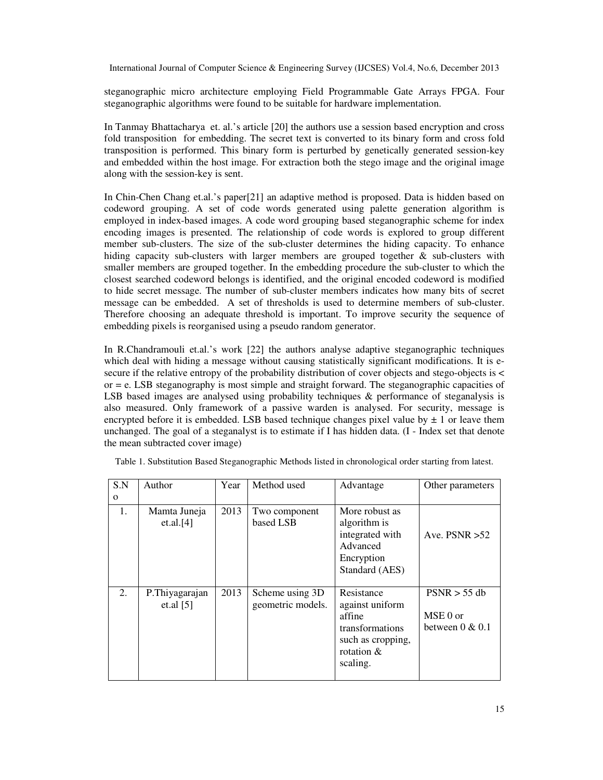steganographic micro architecture employing Field Programmable Gate Arrays FPGA. Four steganographic algorithms were found to be suitable for hardware implementation.

In Tanmay Bhattacharya et. al.'s article [20] the authors use a session based encryption and cross fold transposition for embedding. The secret text is converted to its binary form and cross fold transposition is performed. This binary form is perturbed by genetically generated session-key and embedded within the host image. For extraction both the stego image and the original image along with the session-key is sent.

In Chin-Chen Chang et.al.'s paper[21] an adaptive method is proposed. Data is hidden based on codeword grouping. A set of code words generated using palette generation algorithm is employed in index-based images. A code word grouping based steganographic scheme for index encoding images is presented. The relationship of code words is explored to group different member sub-clusters. The size of the sub-cluster determines the hiding capacity. To enhance hiding capacity sub-clusters with larger members are grouped together & sub-clusters with smaller members are grouped together. In the embedding procedure the sub-cluster to which the closest searched codeword belongs is identified, and the original encoded codeword is modified to hide secret message. The number of sub-cluster members indicates how many bits of secret message can be embedded. A set of thresholds is used to determine members of sub-cluster. Therefore choosing an adequate threshold is important. To improve security the sequence of embedding pixels is reorganised using a pseudo random generator.

In R.Chandramouli et.al.'s work [22] the authors analyse adaptive steganographic techniques which deal with hiding a message without causing statistically significant modifications. It is esecure if the relative entropy of the probability distribution of cover objects and stego-objects is < or = e. LSB steganography is most simple and straight forward. The steganographic capacities of LSB based images are analysed using probability techniques & performance of steganalysis is also measured. Only framework of a passive warden is analysed. For security, message is encrypted before it is embedded. LSB based technique changes pixel value by  $\pm 1$  or leave them unchanged. The goal of a steganalyst is to estimate if I has hidden data. (I - Index set that denote the mean subtracted cover image)

| S.N          | Author                        | Year | Method used                          | Advantage                                                                                                    | Other parameters                                  |
|--------------|-------------------------------|------|--------------------------------------|--------------------------------------------------------------------------------------------------------------|---------------------------------------------------|
| $\mathbf{O}$ |                               |      |                                      |                                                                                                              |                                                   |
| 1.           | Mamta Juneja<br>et.al.[4]     | 2013 | Two component<br>based LSB           | More robust as<br>algorithm is<br>integrated with<br>Advanced<br>Encryption<br>Standard (AES)                | Ave. PSNR $>52$                                   |
| 2.           | P.Thiyagarajan<br>et.al $[5]$ | 2013 | Scheme using 3D<br>geometric models. | Resistance<br>against uniform<br>affine<br>transformations<br>such as cropping,<br>rotation $\&$<br>scaling. | $PSNR > 55$ db<br>$MSE$ 0 or<br>between $0 & 0.1$ |

Table 1. Substitution Based Steganographic Methods listed in chronological order starting from latest.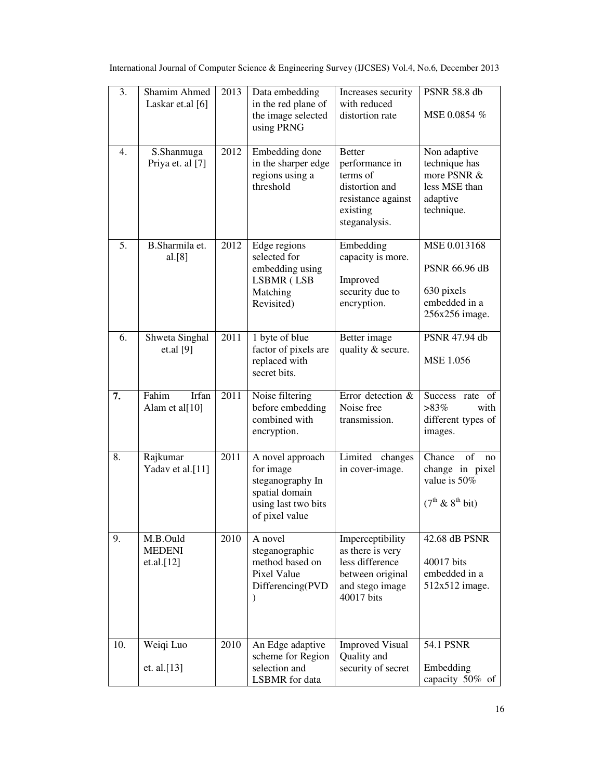International Journal of Computer Science & Engineering Survey (IJCSES) Vol.4, No.6, December 2013

| 3.  | <b>Shamim Ahmed</b><br>Laskar et.al [6] | 2013 | Data embedding<br>in the red plane of<br>the image selected<br>using PRNG                                    | Increases security<br>with reduced<br>distortion rate                                                            | PSNR 58.8 db<br>MSE 0.0854 %                                                            |
|-----|-----------------------------------------|------|--------------------------------------------------------------------------------------------------------------|------------------------------------------------------------------------------------------------------------------|-----------------------------------------------------------------------------------------|
| 4.  | S.Shanmuga<br>Priya et. al [7]          | 2012 | Embedding done<br>in the sharper edge<br>regions using a<br>threshold                                        | <b>Better</b><br>performance in<br>terms of<br>distortion and<br>resistance against<br>existing<br>steganalysis. | Non adaptive<br>technique has<br>more PSNR &<br>less MSE than<br>adaptive<br>technique. |
| 5.  | B.Sharmila et.<br>al.[8]                | 2012 | Edge regions<br>selected for<br>embedding using<br>LSBMR (LSB<br>Matching<br>Revisited)                      | Embedding<br>capacity is more.<br>Improved<br>security due to<br>encryption.                                     | MSE 0.013168<br>PSNR 66.96 dB<br>630 pixels<br>embedded in a<br>256x256 image.          |
| 6.  | Shweta Singhal<br>et.al [9]             | 2011 | 1 byte of blue<br>factor of pixels are<br>replaced with<br>secret bits.                                      | Better image<br>quality & secure.                                                                                | PSNR 47.94 db<br><b>MSE 1.056</b>                                                       |
| 7.  | Fahim<br>Irfan<br>Alam et al[10]        | 2011 | Noise filtering<br>before embedding<br>combined with<br>encryption.                                          | Error detection &<br>Noise free<br>transmission.                                                                 | Success rate of<br>$>83\%$<br>with<br>different types of<br>images.                     |
| 8.  | Rajkumar<br>Yadav et al.[11]            | 2011 | A novel approach<br>for image<br>steganography In<br>spatial domain<br>using last two bits<br>of pixel value | Limited changes<br>in cover-image.                                                                               | of<br>Chance<br>no<br>change in pixel<br>value is 50%<br>$(7th \& 8th bit)$             |
| 9.  | M.B.Ould<br><b>MEDENI</b><br>et.al.[12] | 2010 | A novel<br>steganographic<br>method based on<br>Pixel Value<br>Differencing(PVD<br>$\lambda$                 | Imperceptibility<br>as there is very<br>less difference<br>between original<br>and stego image<br>40017 bits     | 42.68 dB PSNR<br>40017 bits<br>embedded in a<br>512x512 image.                          |
| 10. | Weiqi Luo<br>et. al.[13]                | 2010 | An Edge adaptive<br>scheme for Region<br>selection and<br>LSBMR for data                                     | <b>Improved Visual</b><br>Quality and<br>security of secret                                                      | <b>54.1 PSNR</b><br>Embedding<br>capacity 50% of                                        |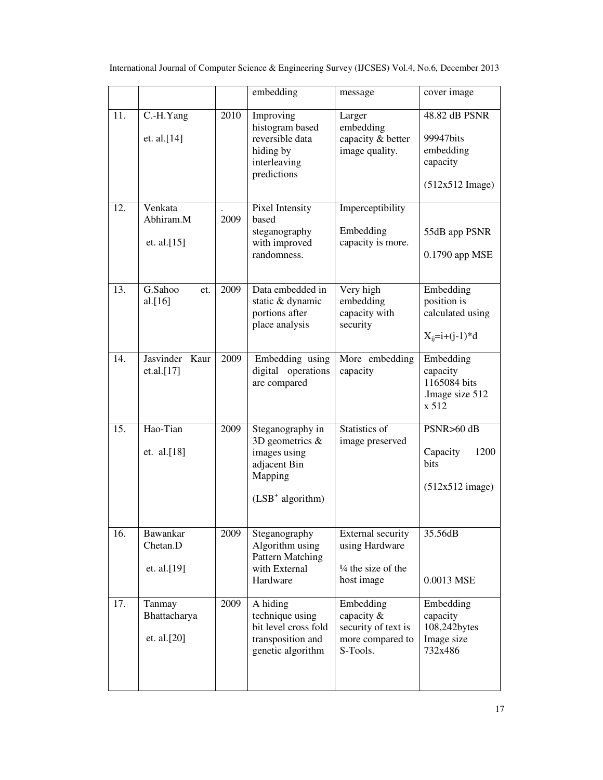|  |  |  |  | International Journal of Computer Science & Engineering Survey (IJCSES) Vol.4, No.6, December 2013 |
|--|--|--|--|----------------------------------------------------------------------------------------------------|
|--|--|--|--|----------------------------------------------------------------------------------------------------|

|     |                                       |      | embedding                                                                                               | message                                                                         | cover image                                                                      |
|-----|---------------------------------------|------|---------------------------------------------------------------------------------------------------------|---------------------------------------------------------------------------------|----------------------------------------------------------------------------------|
| 11. | C.-H.Yang<br>et. al.[14]              | 2010 | Improving<br>histogram based<br>reversible data<br>hiding by<br>interleaving<br>predictions             | Larger<br>embedding<br>capacity & better<br>image quality.                      | 48.82 dB PSNR<br>99947bits<br>embedding<br>capacity<br>$(512x512 \text{ Image})$ |
| 12. | Venkata<br>Abhiram.M<br>et. al.[15]   | 2009 | Pixel Intensity<br>based<br>steganography<br>with improved<br>randomness.                               | Imperceptibility<br>Embedding<br>capacity is more.                              | 55dB app PSNR<br>$0.1790$ app MSE                                                |
| 13. | G.Sahoo<br>et.<br>al. $[16]$          | 2009 | Data embedded in<br>static & dynamic<br>portions after<br>place analysis                                | Very high<br>embedding<br>capacity with<br>security                             | Embedding<br>position is<br>calculated using<br>$X_{ij} = i + (j-1)*d$           |
| 14. | Jasvinder Kaur<br>et.al.[17]          | 2009 | Embedding using<br>digital operations<br>are compared                                                   | More embedding<br>capacity                                                      | Embedding<br>capacity<br>1165084 bits<br>.Image size 512<br>x 512                |
| 15. | Hao-Tian<br>et. al.[18]               | 2009 | Steganography in<br>3D geometrics $\&$<br>images using<br>adjacent Bin<br>Mapping<br>$(LSB+ algorithm)$ | Statistics of<br>image preserved                                                | PSNR>60 dB<br>1200<br>Capacity<br>bits<br>$(512x512 \text{ image})$              |
| 16. | Bawankar<br>Chetan.D<br>et. al.[19]   | 2009 | Steganography<br>Algorithm using<br><b>Pattern Matching</b><br>with External<br>Hardware                | <b>External security</b><br>using Hardware<br>1/4 the size of the<br>host image | 35.56dB<br>0.0013 MSE                                                            |
| 17. | Tanmay<br>Bhattacharya<br>et. al.[20] | 2009 | A hiding<br>technique using<br>bit level cross fold<br>transposition and<br>genetic algorithm           | Embedding<br>capacity &<br>security of text is<br>more compared to<br>S-Tools.  | Embedding<br>capacity<br>108,242bytes<br>Image size<br>732x486                   |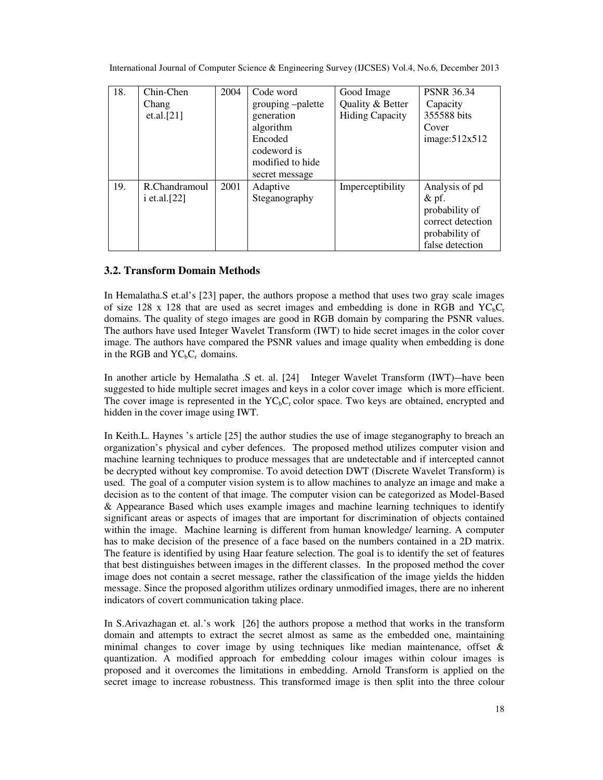| 18. | Chin-Chen           | 2004 | Code word         | Good Image             | <b>PSNR 36.34</b> |
|-----|---------------------|------|-------------------|------------------------|-------------------|
|     | Chang               |      | grouping -palette | Quality & Better       | Capacity          |
|     | et.al.[21]          |      | generation        | <b>Hiding Capacity</b> | 355588 bits       |
|     |                     |      | algorithm         |                        | Cover             |
|     |                     |      | Encoded           |                        | image:512x512     |
|     |                     |      | codeword is       |                        |                   |
|     |                     |      | modified to hide  |                        |                   |
|     |                     |      | secret message    |                        |                   |
| 19. | R.Chandramoul       | 2001 | Adaptive          | Imperceptibility       | Analysis of pd    |
|     | <i>i</i> et.al.[22] |      | Steganography     |                        | $&$ pf.           |
|     |                     |      |                   |                        | probability of    |
|     |                     |      |                   |                        | correct detection |
|     |                     |      |                   |                        | probability of    |
|     |                     |      |                   |                        | false detection   |

International Journal of Computer Science & Engineering Survey (IJCSES) Vol.4, No.6, December 2013

## **3.2. Transform Domain Methods**

In Hemalatha.S et.al's [23] paper, the authors propose a method that uses two gray scale images of size 128 x 128 that are used as secret images and embedding is done in RGB and  $\text{YC}_{\text{b}}\text{C}_{\text{r}}$ domains. The quality of stego images are good in RGB domain by comparing the PSNR values. The authors have used Integer Wavelet Transform (IWT) to hide secret images in the color cover image. The authors have compared the PSNR values and image quality when embedding is done in the RGB and  $YC<sub>b</sub>C<sub>r</sub>$  domains.

In another article by Hemalatha .S et. al. [24] Integer Wavelet Transform (IWT)—have been suggested to hide multiple secret images and keys in a color cover image which is more efficient. The cover image is represented in the  $YC<sub>b</sub>C<sub>r</sub>$  color space. Two keys are obtained, encrypted and hidden in the cover image using IWT.

In Keith.L. Haynes 's article [25] the author studies the use of image steganography to breach an organization's physical and cyber defences. The proposed method utilizes computer vision and machine learning techniques to produce messages that are undetectable and if intercepted cannot be decrypted without key compromise. To avoid detection DWT (Discrete Wavelet Transform) is used. The goal of a computer vision system is to allow machines to analyze an image and make a decision as to the content of that image. The computer vision can be categorized as Model-Based & Appearance Based which uses example images and machine learning techniques to identify significant areas or aspects of images that are important for discrimination of objects contained within the image. Machine learning is different from human knowledge/ learning. A computer has to make decision of the presence of a face based on the numbers contained in a 2D matrix. The feature is identified by using Haar feature selection. The goal is to identify the set of features that best distinguishes between images in the different classes. In the proposed method the cover image does not contain a secret message, rather the classification of the image yields the hidden message. Since the proposed algorithm utilizes ordinary unmodified images, there are no inherent indicators of covert communication taking place.

In S.Arivazhagan et. al.'s work [26] the authors propose a method that works in the transform domain and attempts to extract the secret almost as same as the embedded one, maintaining minimal changes to cover image by using techniques like median maintenance, offset  $\&$ quantization. A modified approach for embedding colour images within colour images is proposed and it overcomes the limitations in embedding. Arnold Transform is applied on the secret image to increase robustness. This transformed image is then split into the three colour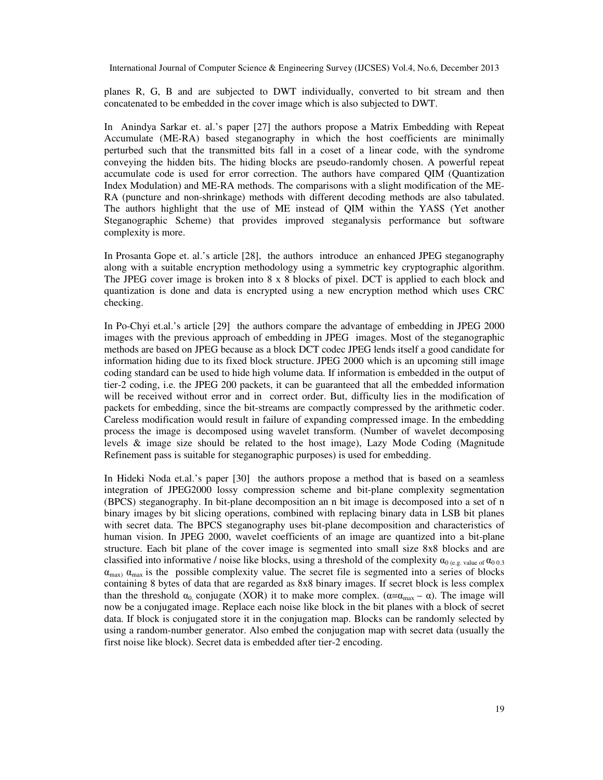planes R, G, B and are subjected to DWT individually, converted to bit stream and then concatenated to be embedded in the cover image which is also subjected to DWT.

In Anindya Sarkar et. al.'s paper [27] the authors propose a Matrix Embedding with Repeat Accumulate (ME-RA) based steganography in which the host coefficients are minimally perturbed such that the transmitted bits fall in a coset of a linear code, with the syndrome conveying the hidden bits. The hiding blocks are pseudo-randomly chosen. A powerful repeat accumulate code is used for error correction. The authors have compared QIM (Quantization Index Modulation) and ME-RA methods. The comparisons with a slight modification of the ME-RA (puncture and non-shrinkage) methods with different decoding methods are also tabulated. The authors highlight that the use of ME instead of QIM within the YASS (Yet another Steganographic Scheme) that provides improved steganalysis performance but software complexity is more.

In Prosanta Gope et. al.'s article [28], the authors introduce an enhanced JPEG steganography along with a suitable encryption methodology using a symmetric key cryptographic algorithm. The JPEG cover image is broken into 8 x 8 blocks of pixel. DCT is applied to each block and quantization is done and data is encrypted using a new encryption method which uses CRC checking.

In Po-Chyi et.al.'s article [29] the authors compare the advantage of embedding in JPEG 2000 images with the previous approach of embedding in JPEG images. Most of the steganographic methods are based on JPEG because as a block DCT codec JPEG lends itself a good candidate for information hiding due to its fixed block structure. JPEG 2000 which is an upcoming still image coding standard can be used to hide high volume data. If information is embedded in the output of tier-2 coding, i.e. the JPEG 200 packets, it can be guaranteed that all the embedded information will be received without error and in correct order. But, difficulty lies in the modification of packets for embedding, since the bit-streams are compactly compressed by the arithmetic coder. Careless modification would result in failure of expanding compressed image. In the embedding process the image is decomposed using wavelet transform. (Number of wavelet decomposing levels & image size should be related to the host image), Lazy Mode Coding (Magnitude Refinement pass is suitable for steganographic purposes) is used for embedding.

In Hideki Noda et.al.'s paper [30] the authors propose a method that is based on a seamless integration of JPEG2000 lossy compression scheme and bit-plane complexity segmentation (BPCS) steganography. In bit-plane decomposition an n bit image is decomposed into a set of n binary images by bit slicing operations, combined with replacing binary data in LSB bit planes with secret data. The BPCS steganography uses bit-plane decomposition and characteristics of human vision. In JPEG 2000, wavelet coefficients of an image are quantized into a bit-plane structure. Each bit plane of the cover image is segmented into small size 8x8 blocks and are classified into informative / noise like blocks, using a threshold of the complexity  $\alpha_{0 \text{ (e.g., value of }} \alpha_{0 \text{ 0.3}})$  $\alpha_{\text{max}}$   $\alpha_{\text{max}}$  is the possible complexity value. The secret file is segmented into a series of blocks containing 8 bytes of data that are regarded as 8x8 binary images. If secret block is less complex than the threshold  $\alpha_0$  conjugate (XOR) it to make more complex.  $(\alpha = \alpha_{\text{max}} - \alpha)$ . The image will now be a conjugated image. Replace each noise like block in the bit planes with a block of secret data. If block is conjugated store it in the conjugation map. Blocks can be randomly selected by using a random-number generator. Also embed the conjugation map with secret data (usually the first noise like block). Secret data is embedded after tier-2 encoding.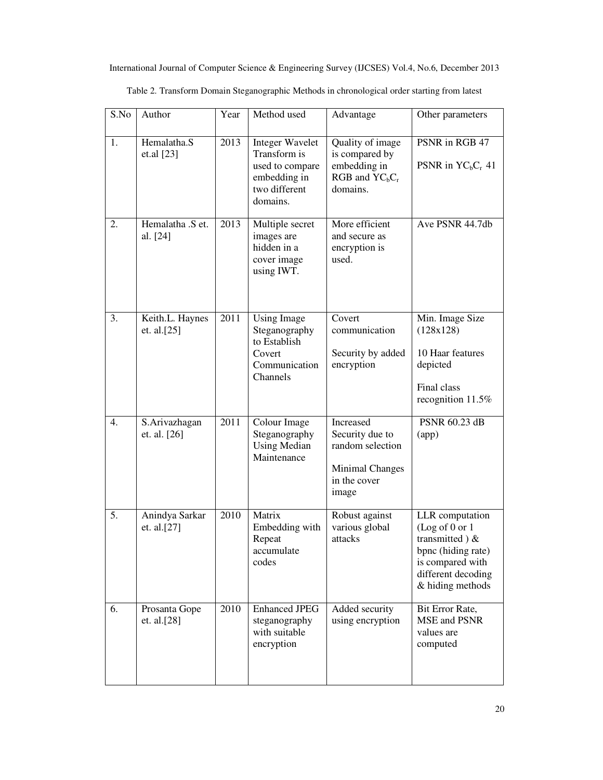| S.No | Author                         | Year | Method used                                                                                     | Advantage                                                                                           | Other parameters                                                                                                                                   |
|------|--------------------------------|------|-------------------------------------------------------------------------------------------------|-----------------------------------------------------------------------------------------------------|----------------------------------------------------------------------------------------------------------------------------------------------------|
| 1.   | Hemalatha.S<br>et.al [23]      | 2013 | Integer Wavelet<br>Transform is<br>used to compare<br>embedding in<br>two different<br>domains. | Quality of image<br>is compared by<br>embedding in<br>RGB and $YCbCr$<br>domains.                   | PSNR in RGB 47<br>PSNR in YC <sub>b</sub> C <sub>r</sub> 41                                                                                        |
| 2.   | Hemalatha .S et.<br>al. [24]   | 2013 | Multiple secret<br>images are<br>hidden in a<br>cover image<br>using IWT.                       | More efficient<br>and secure as<br>encryption is<br>used.                                           | Ave PSNR 44.7db                                                                                                                                    |
| 3.   | Keith.L. Haynes<br>et. al.[25] | 2011 | <b>Using Image</b><br>Steganography<br>to Establish<br>Covert<br>Communication<br>Channels      | Covert<br>communication<br>Security by added<br>encryption                                          | Min. Image Size<br>(128x128)<br>10 Haar features<br>depicted<br>Final class<br>recognition 11.5%                                                   |
| 4.   | S.Arivazhagan<br>et. al. [26]  | 2011 | Colour Image<br>Steganography<br><b>Using Median</b><br>Maintenance                             | Increased<br>Security due to<br>random selection<br><b>Minimal Changes</b><br>in the cover<br>image | PSNR 60.23 dB<br>(app)                                                                                                                             |
| 5.   | Anindya Sarkar<br>et. al.[27]  | 2010 | Matrix<br>Embedding with<br>Repeat<br>accumulate<br>codes                                       | Robust against<br>various global<br>attacks                                                         | LLR computation<br>(Log of 0 or 1<br>transmitted $\partial \&$<br>bpnc (hiding rate)<br>is compared with<br>different decoding<br>& hiding methods |
| 6.   | Prosanta Gope<br>et. al.[28]   | 2010 | <b>Enhanced JPEG</b><br>steganography<br>with suitable<br>encryption                            | Added security<br>using encryption                                                                  | Bit Error Rate,<br><b>MSE</b> and PSNR<br>values are<br>computed                                                                                   |

Table 2. Transform Domain Steganographic Methods in chronological order starting from latest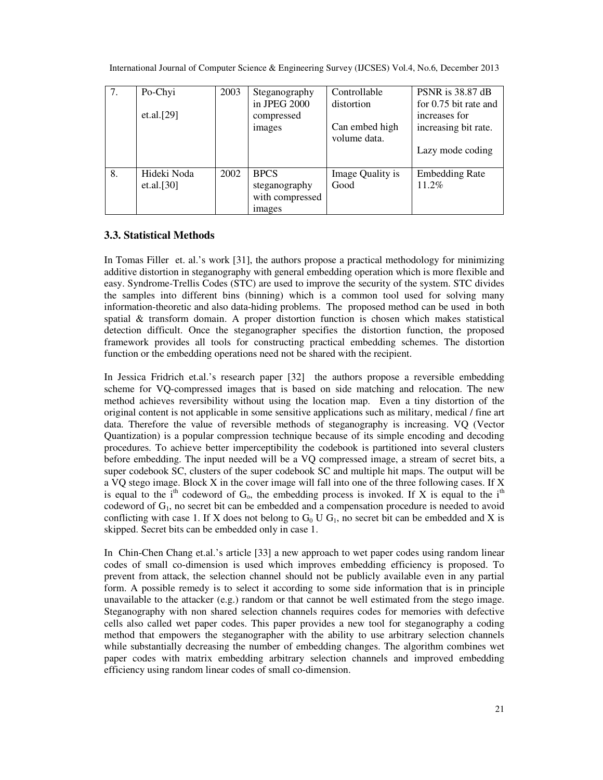| 7. | Po-Chyi<br>et.al.[29]        | 2003 | Steganography<br>in JPEG 2000<br>compressed<br>images            | Controllable<br>distortion<br>Can embed high<br>volume data. | PSNR is 38.87 dB<br>for 0.75 bit rate and<br>increases for<br>increasing bit rate.<br>Lazy mode coding |
|----|------------------------------|------|------------------------------------------------------------------|--------------------------------------------------------------|--------------------------------------------------------------------------------------------------------|
| 8. | Hideki Noda<br>et.al. $[30]$ | 2002 | <b>BPCS</b><br>steganography<br>with compressed<br><i>images</i> | Image Quality is<br>Good                                     | <b>Embedding Rate</b><br>$11.2\%$                                                                      |

International Journal of Computer Science & Engineering Survey (IJCSES) Vol.4, No.6, December 2013

## **3.3. Statistical Methods**

In Tomas Filler et. al.'s work [31], the authors propose a practical methodology for minimizing additive distortion in steganography with general embedding operation which is more flexible and easy. Syndrome-Trellis Codes (STC) are used to improve the security of the system. STC divides the samples into different bins (binning) which is a common tool used for solving many information-theoretic and also data-hiding problems. The proposed method can be used in both spatial & transform domain. A proper distortion function is chosen which makes statistical detection difficult. Once the steganographer specifies the distortion function, the proposed framework provides all tools for constructing practical embedding schemes. The distortion function or the embedding operations need not be shared with the recipient.

In Jessica Fridrich et.al.'s research paper [32] the authors propose a reversible embedding scheme for VQ-compressed images that is based on side matching and relocation. The new method achieves reversibility without using the location map. Even a tiny distortion of the original content is not applicable in some sensitive applications such as military, medical / fine art data. Therefore the value of reversible methods of steganography is increasing. VQ (Vector Quantization) is a popular compression technique because of its simple encoding and decoding procedures. To achieve better imperceptibility the codebook is partitioned into several clusters before embedding. The input needed will be a VQ compressed image, a stream of secret bits, a super codebook SC, clusters of the super codebook SC and multiple hit maps. The output will be a VQ stego image. Block X in the cover image will fall into one of the three following cases. If X is equal to the i<sup>th</sup> codeword of  $G_0$ , the embedding process is invoked. If X is equal to the i<sup>th</sup> codeword of  $G<sub>1</sub>$ , no secret bit can be embedded and a compensation procedure is needed to avoid conflicting with case 1. If X does not belong to  $G_0$  U  $G_1$ , no secret bit can be embedded and X is skipped. Secret bits can be embedded only in case 1.

In Chin-Chen Chang et.al.'s article [33] a new approach to wet paper codes using random linear codes of small co-dimension is used which improves embedding efficiency is proposed. To prevent from attack, the selection channel should not be publicly available even in any partial form. A possible remedy is to select it according to some side information that is in principle unavailable to the attacker (e.g.) random or that cannot be well estimated from the stego image. Steganography with non shared selection channels requires codes for memories with defective cells also called wet paper codes. This paper provides a new tool for steganography a coding method that empowers the steganographer with the ability to use arbitrary selection channels while substantially decreasing the number of embedding changes. The algorithm combines wet paper codes with matrix embedding arbitrary selection channels and improved embedding efficiency using random linear codes of small co-dimension.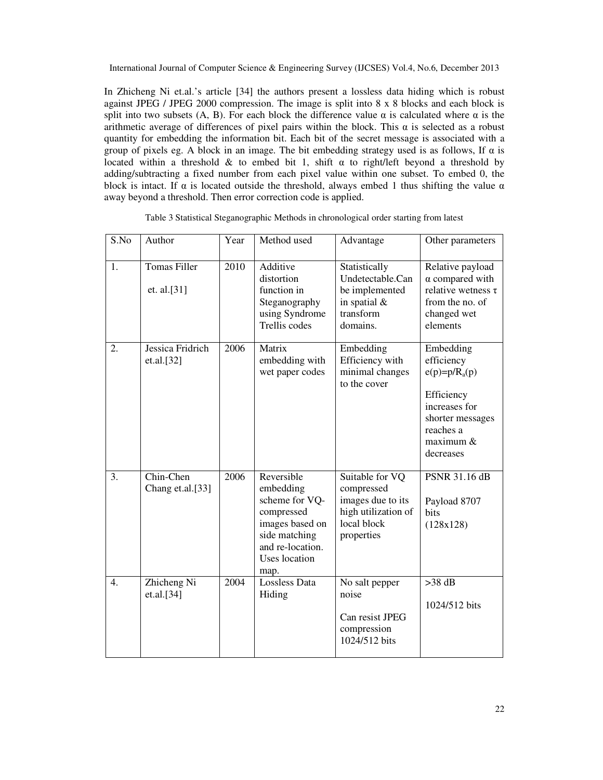In Zhicheng Ni et.al.'s article [34] the authors present a lossless data hiding which is robust against JPEG / JPEG 2000 compression. The image is split into 8 x 8 blocks and each block is split into two subsets (A, B). For each block the difference value  $\alpha$  is calculated where  $\alpha$  is the arithmetic average of differences of pixel pairs within the block. This  $\alpha$  is selected as a robust quantity for embedding the information bit. Each bit of the secret message is associated with a group of pixels eg. A block in an image. The bit embedding strategy used is as follows, If  $\alpha$  is located within a threshold & to embed bit 1, shift  $\alpha$  to right/left beyond a threshold by adding/subtracting a fixed number from each pixel value within one subset. To embed 0, the block is intact. If  $\alpha$  is located outside the threshold, always embed 1 thus shifting the value  $\alpha$ away beyond a threshold. Then error correction code is applied.

| S.No | Author                             | Year | Method used                                                                                                                              | Advantage                                                                                              | Other parameters                                                                                                                     |
|------|------------------------------------|------|------------------------------------------------------------------------------------------------------------------------------------------|--------------------------------------------------------------------------------------------------------|--------------------------------------------------------------------------------------------------------------------------------------|
| 1.   | <b>Tomas Filler</b><br>et. al.[31] | 2010 | Additive<br>distortion<br>function in<br>Steganography<br>using Syndrome<br>Trellis codes                                                | Statistically<br>Undetectable.Can<br>be implemented<br>in spatial &<br>transform<br>domains.           | Relative payload<br>$\alpha$ compared with<br>relative wetness $\tau$<br>from the no. of<br>changed wet<br>elements                  |
| 2.   | Jessica Fridrich<br>et.al.[32]     | 2006 | Matrix<br>embedding with<br>wet paper codes                                                                                              | Embedding<br>Efficiency with<br>minimal changes<br>to the cover                                        | Embedding<br>efficiency<br>$e(p)=p/R_a(p)$<br>Efficiency<br>increases for<br>shorter messages<br>reaches a<br>maximum &<br>decreases |
| 3.   | Chin-Chen<br>Chang et.al.[33]      | 2006 | Reversible<br>embedding<br>scheme for VQ-<br>compressed<br>images based on<br>side matching<br>and re-location.<br>Uses location<br>map. | Suitable for VQ<br>compressed<br>images due to its<br>high utilization of<br>local block<br>properties | <b>PSNR 31.16 dB</b><br>Payload 8707<br>bits<br>(128x128)                                                                            |
| 4.   | Zhicheng Ni<br>et.al.[34]          | 2004 | <b>Lossless Data</b><br>Hiding                                                                                                           | No salt pepper<br>noise<br>Can resist JPEG<br>compression<br>1024/512 bits                             | $>38$ dB<br>1024/512 bits                                                                                                            |

Table 3 Statistical Steganographic Methods in chronological order starting from latest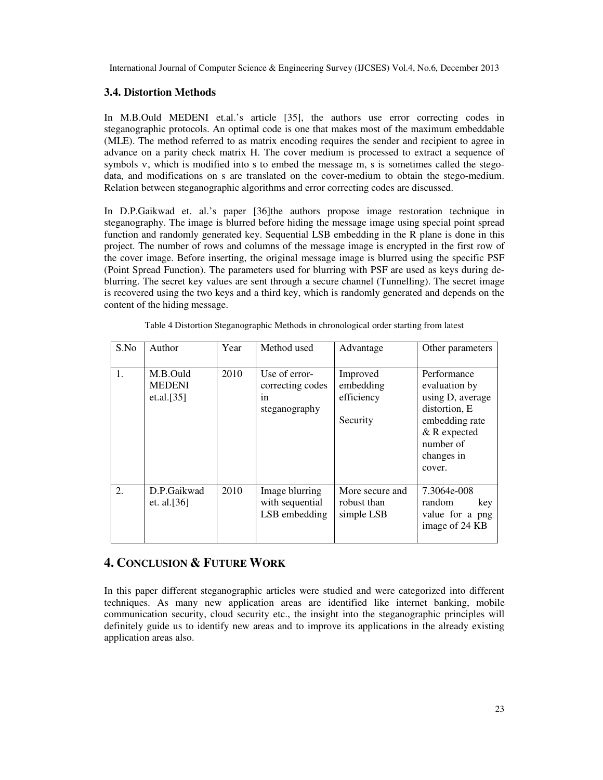### **3.4. Distortion Methods**

In M.B.Ould MEDENI et.al.'s article [35], the authors use error correcting codes in steganographic protocols. An optimal code is one that makes most of the maximum embeddable (MLE). The method referred to as matrix encoding requires the sender and recipient to agree in advance on a parity check matrix H. The cover medium is processed to extract a sequence of symbols *v*, which is modified into s to embed the message m, s is sometimes called the stegodata, and modifications on s are translated on the cover-medium to obtain the stego-medium. Relation between steganographic algorithms and error correcting codes are discussed.

In D.P.Gaikwad et. al.'s paper [36]the authors propose image restoration technique in steganography. The image is blurred before hiding the message image using special point spread function and randomly generated key. Sequential LSB embedding in the R plane is done in this project. The number of rows and columns of the message image is encrypted in the first row of the cover image. Before inserting, the original message image is blurred using the specific PSF (Point Spread Function). The parameters used for blurring with PSF are used as keys during deblurring. The secret key values are sent through a secure channel (Tunnelling). The secret image is recovered using the two keys and a third key, which is randomly generated and depends on the content of the hiding message.

| S.No | Author                                  | Year | Method used                                              | Advantage                                       | Other parameters                                                                                                                         |
|------|-----------------------------------------|------|----------------------------------------------------------|-------------------------------------------------|------------------------------------------------------------------------------------------------------------------------------------------|
| 1.   | M.B.Ould<br><b>MEDENI</b><br>et.al.[35] | 2010 | Use of error-<br>correcting codes<br>in<br>steganography | Improved<br>embedding<br>efficiency<br>Security | Performance<br>evaluation by<br>using D, average<br>distortion, E<br>embedding rate<br>& R expected<br>number of<br>changes in<br>cover. |
| 2.   | D.P.Gaikwad<br>et. al. $[36]$           | 2010 | Image blurring<br>with sequential<br>LSB embedding       | More secure and<br>robust than<br>simple LSB    | 7.3064e-008<br>random<br>key<br>value for a png<br>image of 24 KB                                                                        |

Table 4 Distortion Steganographic Methods in chronological order starting from latest

## **4. CONCLUSION & FUTURE WORK**

In this paper different steganographic articles were studied and were categorized into different techniques. As many new application areas are identified like internet banking, mobile communication security, cloud security etc., the insight into the steganographic principles will definitely guide us to identify new areas and to improve its applications in the already existing application areas also.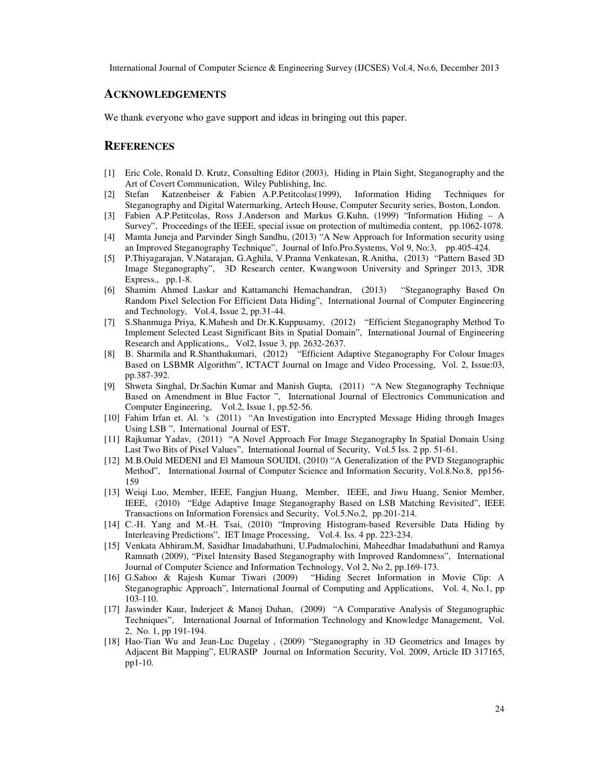#### **ACKNOWLEDGEMENTS**

We thank everyone who gave support and ideas in bringing out this paper.

#### **REFERENCES**

- [1] Eric Cole, Ronald D. Krutz, Consulting Editor (2003), Hiding in Plain Sight, Steganography and the Art of Covert Communication, Wiley Publishing, Inc.
- [2] Stefan Katzenbeiser & Fabien A.P.Petitcolas(1999), Information Hiding Techniques for Steganography and Digital Watermarking, Artech House, Computer Security series, Boston, London.
- [3] Fabien A.P.Petitcolas, Ross J.Anderson and Markus G.Kuhn, (1999) "Information Hiding A Survey", Proceedings of the IEEE, special issue on protection of multimedia content, pp.1062-1078.
- [4] Mamta Juneja and Parvinder Singh Sandhu, (2013) "A New Approach for Information security using an Improved Steganography Technique", Journal of Info.Pro.Systems, Vol 9, No:3, pp.405-424.
- [5] P.Thiyagarajan, V.Natarajan, G.Aghila, V.Pranna Venkatesan, R.Anitha, (2013) "Pattern Based 3D Image Steganography", 3D Research center, Kwangwoon University and Springer 2013, 3DR Express., pp.1-8.
- [6] Shamim Ahmed Laskar and Kattamanchi Hemachandran, (2013) "Steganography Based On Random Pixel Selection For Efficient Data Hiding", International Journal of Computer Engineering and Technology, Vol.4, Issue 2, pp.31-44.
- [7] S.Shanmuga Priya, K.Mahesh and Dr.K.Kuppusamy, (2012) "Efficient Steganography Method To Implement Selected Least Significant Bits in Spatial Domain", International Journal of Engineering Research and Applications,, Vol2, Issue 3, pp. 2632-2637.
- [8] B. Sharmila and R.Shanthakumari, (2012) "Efficient Adaptive Steganography For Colour Images Based on LSBMR Algorithm", ICTACT Journal on Image and Video Processing, Vol. 2, Issue:03, pp.387-392.
- [9] Shweta Singhal, Dr.Sachin Kumar and Manish Gupta, (2011) "A New Steganography Technique Based on Amendment in Blue Factor ", International Journal of Electronics Communication and Computer Engineering, Vol.2, Issue 1, pp.52-56.
- [10] Fahim Irfan et. Al. 's (2011) "An Investigation into Encrypted Message Hiding through Images Using LSB ", International Journal of EST,
- [11] Rajkumar Yadav, (2011) "A Novel Approach For Image Steganography In Spatial Domain Using Last Two Bits of Pixel Values", International Journal of Security, Vol.5 Iss. 2 pp. 51-61.
- [12] M.B.Ould MEDENI and El Mamoun SOUIDI, (2010) "A Generalization of the PVD Steganographic Method", International Journal of Computer Science and Information Security, Vol.8.No.8, pp156- 159
- [13] Weiqi Luo, Member, IEEE, Fangjun Huang, Member, IEEE, and Jiwu Huang, Senior Member, IEEE, (2010) "Edge Adaptive Image Steganography Based on LSB Matching Revisited", IEEE Transactions on Information Forensics and Security, Vol.5.No.2, pp.201-214.
- [14] C.-H. Yang and M.-H. Tsai, (2010) "Improving Histogram-based Reversible Data Hiding by Interleaving Predictions", IET Image Processing, Vol.4. Iss. 4 pp. 223-234.
- [15] Venkata Abhiram.M, Sasidhar Imadabathuni, U.Padmalochini, Maheedhar Imadabathuni and Ramya Ramnath (2009), "Pixel Intensity Based Steganography with Improved Randomness", International Journal of Computer Science and Information Technology, Vol 2, No 2, pp.169-173.
- [16] G.Sahoo & Rajesh Kumar Tiwari (2009) "Hiding Secret Information in Movie Clip: A Steganographic Approach", International Journal of Computing and Applications, Vol. 4, No.1, pp 103-110.
- [17] Jaswinder Kaur, Inderjeet & Manoj Duhan, (2009) "A Comparative Analysis of Steganographic Techniques", International Journal of Information Technology and Knowledge Management, Vol. 2, No. 1, pp 191-194.
- [18] Hao-Tian Wu and Jean-Luc Dugelay, (2009) "Steganography in 3D Geometrics and Images by Adjacent Bit Mapping", EURASIP Journal on Information Security, Vol. 2009, Article ID 317165, pp1-10.